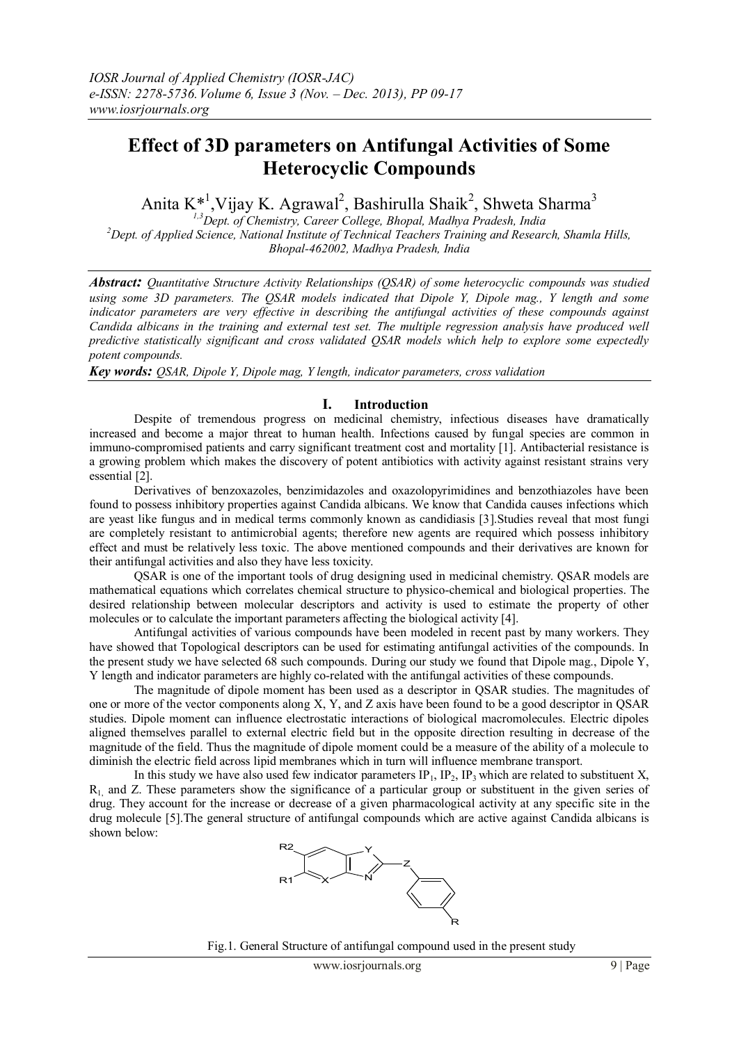# **Effect of 3D parameters on Antifungal Activities of Some Heterocyclic Compounds**

Anita K<sup>\*1</sup>, Vijay K. Agrawal<sup>2</sup>, Bashirulla Shaik<sup>2</sup>, Shweta Sharma<sup>3</sup>

*1,3Dept. of Chemistry, Career College, Bhopal, Madhya Pradesh, India <sup>2</sup>Dept. of Applied Science, National Institute of Technical Teachers Training and Research, Shamla Hills, Bhopal-462002, Madhya Pradesh, India*

*Abstract: Quantitative Structure Activity Relationships (QSAR) of some heterocyclic compounds was studied using some 3D parameters. The QSAR models indicated that Dipole Y, Dipole mag., Y length and some indicator parameters are very effective in describing the antifungal activities of these compounds against Candida albicans in the training and external test set. The multiple regression analysis have produced well predictive statistically significant and cross validated QSAR models which help to explore some expectedly potent compounds.*

*Key words: QSAR, Dipole Y, Dipole mag, Y length, indicator parameters, cross validation*

## **I. Introduction**

Despite of tremendous progress on medicinal chemistry, infectious diseases have dramatically increased and become a major threat to human health. Infections caused by fungal species are common in immuno-compromised patients and carry significant treatment cost and mortality [1]. Antibacterial resistance is a growing problem which makes the discovery of potent antibiotics with activity against resistant strains very essential [2].

Derivatives of benzoxazoles, benzimidazoles and oxazolopyrimidines and benzothiazoles have been found to possess inhibitory properties against Candida albicans. We know that Candida causes infections which are yeast like fungus and in medical terms commonly known as candidiasis [3].Studies reveal that most fungi are completely resistant to antimicrobial agents; therefore new agents are required which possess inhibitory effect and must be relatively less toxic. The above mentioned compounds and their derivatives are known for their antifungal activities and also they have less toxicity.

QSAR is one of the important tools of drug designing used in medicinal chemistry. QSAR models are mathematical equations which correlates chemical structure to physico-chemical and biological properties. The desired relationship between molecular descriptors and activity is used to estimate the property of other molecules or to calculate the important parameters affecting the biological activity [4].

Antifungal activities of various compounds have been modeled in recent past by many workers. They have showed that Topological descriptors can be used for estimating antifungal activities of the compounds. In the present study we have selected 68 such compounds. During our study we found that Dipole mag., Dipole Y, Y length and indicator parameters are highly co-related with the antifungal activities of these compounds.

The magnitude of dipole moment has been used as a descriptor in QSAR studies. The magnitudes of one or more of the vector components along X, Y, and Z axis have been found to be a good descriptor in QSAR studies. Dipole moment can influence electrostatic interactions of biological macromolecules. Electric dipoles aligned themselves parallel to external electric field but in the opposite direction resulting in decrease of the magnitude of the field. Thus the magnitude of dipole moment could be a measure of the ability of a molecule to diminish the electric field across lipid membranes which in turn will influence membrane transport.

In this study we have also used few indicator parameters  $IP_1$ ,  $IP_2$ ,  $IP_3$  which are related to substituent X,  $R<sub>1</sub>$  and Z. These parameters show the significance of a particular group or substituent in the given series of drug. They account for the increase or decrease of a given pharmacological activity at any specific site in the drug molecule [5].The general structure of antifungal compounds which are active against Candida albicans is shown below:



Fig.1. General Structure of antifungal compound used in the present study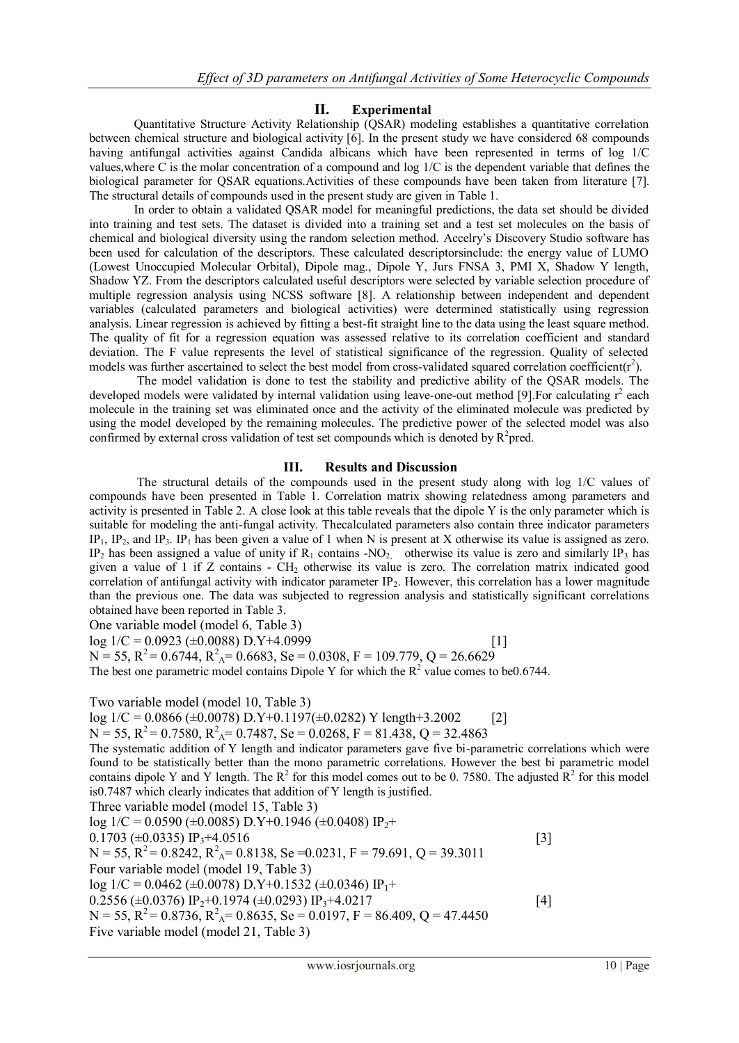## **II. Experimental**

Quantitative Structure Activity Relationship (QSAR) modeling establishes a quantitative correlation between chemical structure and biological activity [6]. In the present study we have considered 68 compounds having antifungal activities against Candida albicans which have been represented in terms of log 1/C values,where C is the molar concentration of a compound and log 1/C is the dependent variable that defines the biological parameter for QSAR equations.Activities of these compounds have been taken from literature [7]. The structural details of compounds used in the present study are given in Table 1.

In order to obtain a validated QSAR model for meaningful predictions, the data set should be divided into training and test sets. The dataset is divided into a training set and a test set molecules on the basis of chemical and biological diversity using the random selection method. Accelry's Discovery Studio software has been used for calculation of the descriptors. These calculated descriptorsinclude: the energy value of LUMO (Lowest Unoccupied Molecular Orbital), Dipole mag., Dipole Y, Jurs FNSA 3, PMI X, Shadow Y length, Shadow YZ. From the descriptors calculated useful descriptors were selected by variable selection procedure of multiple regression analysis using NCSS software [8]. A relationship between independent and dependent variables (calculated parameters and biological activities) were determined statistically using regression analysis. Linear regression is achieved by fitting a best-fit straight line to the data using the least square method. The quality of fit for a regression equation was assessed relative to its correlation coefficient and standard deviation. The F value represents the level of statistical significance of the regression. Quality of selected models was further ascertained to select the best model from cross-validated squared correlation coefficient( $r^2$ ).

The model validation is done to test the stability and predictive ability of the QSAR models. The developed models were validated by internal validation using leave-one-out method [9]. For calculating  $r^2$  each molecule in the training set was eliminated once and the activity of the eliminated molecule was predicted by using the model developed by the remaining molecules. The predictive power of the selected model was also confirmed by external cross validation of test set compounds which is denoted by  $R^2$ pred.

#### **III. Results and Discussion**

The structural details of the compounds used in the present study along with log 1/C values of compounds have been presented in Table 1. Correlation matrix showing relatedness among parameters and activity is presented in Table 2. A close look at this table reveals that the dipole Y is the only parameter which is suitable for modeling the anti-fungal activity. Thecalculated parameters also contain three indicator parameters  $IP_1$ ,  $IP_2$ , and  $IP_3$ .  $IP_1$  has been given a value of 1 when N is present at X otherwise its value is assigned as zero. IP<sub>2</sub> has been assigned a value of unity if  $R_1$  contains -NO<sub>2</sub>, otherwise its value is zero and similarly IP<sub>3</sub> has given a value of 1 if  $Z$  contains - CH<sub>2</sub> otherwise its value is zero. The correlation matrix indicated good correlation of antifungal activity with indicator parameter  $IP_2$ . However, this correlation has a lower magnitude than the previous one. The data was subjected to regression analysis and statistically significant correlations obtained have been reported in Table 3.

One variable model (model 6, Table 3)

 $log 1/C = 0.0923 \ (\pm 0.0088) \ D.Y + 4.0999$  [1]

 $N = 55$ ,  $R^2 = 0.6744$ ,  $R_A^2 = 0.6683$ ,  $Se = 0.0308$ ,  $F = 109.779$ ,  $Q = 26.6629$ 

The best one parametric model contains Dipole Y for which the  $R^2$  value comes to be0.6744.

Two variable model (model 10, Table 3)

log  $1/C = 0.0866 \ (\pm 0.0078) \ D.Y+0.1197(\pm 0.0282) \ Y \ length+3.2002$  [2]

 $N = 55$ ,  $R^2 = 0.7580$ ,  $R^2$ <sub>A</sub> = 0.7487, Se = 0.0268, F = 81.438, Q = 32.4863 The systematic addition of Y length and indicator parameters gave five bi-parametric correlations which were found to be statistically better than the mono parametric correlations. However the best bi parametric model contains dipole Y and Y length. The  $R^2$  for this model comes out to be 0. 7580. The adjusted  $R^2$  for this model is0.7487 which clearly indicates that addition of Y length is justified.

Three variable model (model 15, Table 3)

 $log 1/C = 0.0590$  ( $\pm 0.0085$ ) D.Y+0.1946 ( $\pm 0.0408$ ) IP<sub>2</sub>+ 0.1703 ( $\pm$ 0.0335) IP<sub>3</sub>+4.0516 [3]  $N = 55$ ,  $R^2 = 0.8242$ ,  $R^2$ <sub>A</sub> = 0.8138, Se = 0.0231, F = 79.691, Q = 39.3011 Four variable model (model 19, Table 3)  $log 1/C = 0.0462$  ( $\pm 0.0078$ ) D.Y+0.1532 ( $\pm 0.0346$ ) IP<sub>1</sub>+  $0.2556 \ (\pm 0.0376) \ \text{IP}_2+0.1974 \ (\pm 0.0293) \ \text{IP}_3+4.0217$  [4]  $N = 55$ ,  $R^2 = 0.8736$ ,  $R^2$ <sub>A</sub> = 0.8635, Se = 0.0197, F = 86.409, Q = 47.4450 Five variable model (model 21, Table 3)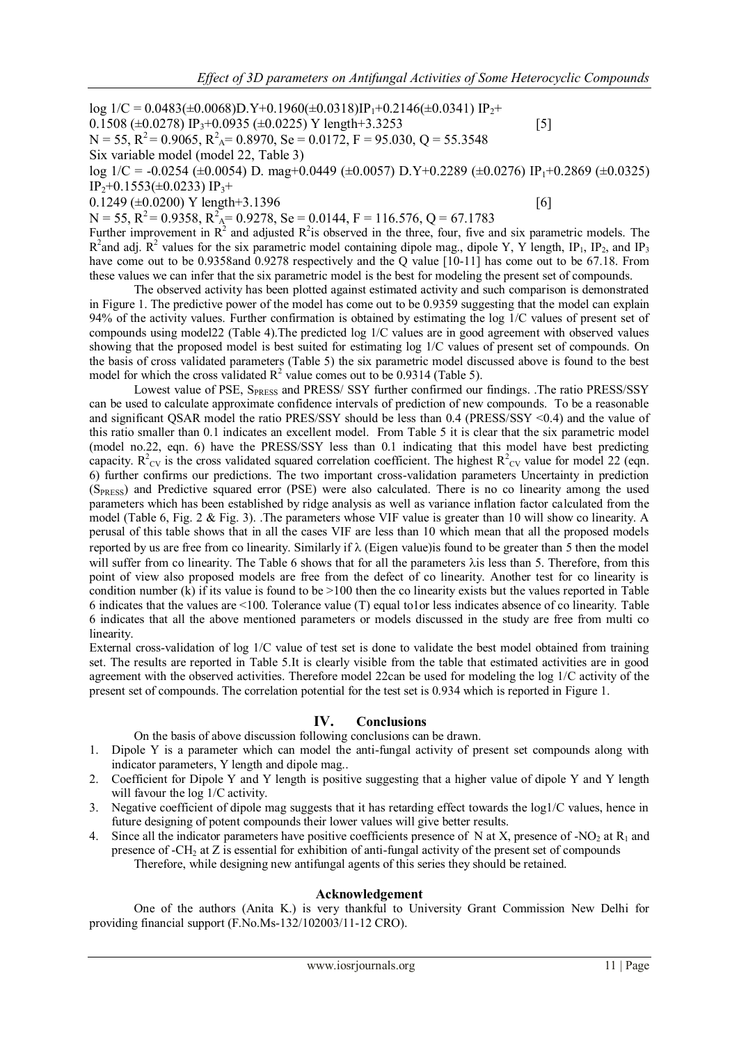$log 1/C = 0.0483(\pm 0.0068)D_Y+0.1960(\pm 0.0318)IP_1+0.2146(\pm 0.0341)IP_2+$ 0.1508 ( $\pm$ 0.0278) IP<sub>3</sub>+0.0935 ( $\pm$ 0.0225) Y length+3.3253 [5]  $N = 55$ ,  $R^2 = 0.9065$ ,  $R^2$ <sub>A</sub> = 0.8970, Se = 0.0172, F = 95.030, Q = 55.3548 Six variable model (model 22, Table 3)  $\log 1/C = -0.0254 \ (\pm 0.0054) \ D$ . mag+0.0449 ( $\pm 0.0057$ ) D.Y+0.2289 ( $\pm 0.0276$ ) IP<sub>1</sub>+0.2869 ( $\pm 0.0325$ )  $IP_2+0.1553(\pm 0.0233) IP_3+$  $0.1249 \ (\pm 0.0200) \ Y \ length+3.1396$  [6]

 $N = 55$ ,  $R^2 = 0.9358$ ,  $R_A^2 = 0.9278$ ,  $Se = 0.0144$ ,  $F = 116.576$ ,  $Q = 67.1783$ 

Further improvement in  $\mathbb{R}^2$  and adjusted  $\mathbb{R}^2$  is observed in the three, four, five and six parametric models. The  $R^2$ and adj.  $R^2$  values for the six parametric model containing dipole mag., dipole Y, Y length, IP<sub>1</sub>, IP<sub>2</sub>, and IP<sub>3</sub> have come out to be 0.9358and 0.9278 respectively and the Q value [10-11] has come out to be 67.18. From these values we can infer that the six parametric model is the best for modeling the present set of compounds.

The observed activity has been plotted against estimated activity and such comparison is demonstrated in Figure 1. The predictive power of the model has come out to be 0.9359 suggesting that the model can explain 94% of the activity values. Further confirmation is obtained by estimating the log 1/C values of present set of compounds using model22 (Table 4).The predicted log 1/C values are in good agreement with observed values showing that the proposed model is best suited for estimating log 1/C values of present set of compounds. On the basis of cross validated parameters (Table 5) the six parametric model discussed above is found to the best model for which the cross validated  $R^2$  value comes out to be 0.9314 (Table 5).

Lowest value of PSE, S<sub>PRESS</sub> and PRESS/ SSY further confirmed our findings. .The ratio PRESS/SSY can be used to calculate approximate confidence intervals of prediction of new compounds. To be a reasonable and significant QSAR model the ratio PRES/SSY should be less than 0.4 (PRESS/SSY <0.4) and the value of this ratio smaller than 0.1 indicates an excellent model. From Table 5 it is clear that the six parametric model (model no.22, eqn. 6) have the PRESS/SSY less than 0.1 indicating that this model have best predicting capacity.  $R^2_{\text{CV}}$  is the cross validated squared correlation coefficient. The highest  $R^2_{\text{CV}}$  value for model 22 (eqn. 6) further confirms our predictions. The two important cross-validation parameters Uncertainty in prediction (SPRESS) and Predictive squared error (PSE) were also calculated. There is no co linearity among the used parameters which has been established by ridge analysis as well as variance inflation factor calculated from the model (Table 6, Fig. 2 & Fig. 3). .The parameters whose VIF value is greater than 10 will show co linearity. A perusal of this table shows that in all the cases VIF are less than 10 which mean that all the proposed models reported by us are free from co linearity. Similarly if  $\lambda$  (Eigen value) is found to be greater than 5 then the model will suffer from co linearity. The Table 6 shows that for all the parameters  $\lambda$  is less than 5. Therefore, from this point of view also proposed models are free from the defect of co linearity. Another test for co linearity is condition number (k) if its value is found to be  $>100$  then the co linearity exists but the values reported in Table 6 indicates that the values are <100. Tolerance value (T) equal to1or less indicates absence of co linearity. Table 6 indicates that all the above mentioned parameters or models discussed in the study are free from multi co linearity.

External cross-validation of log 1/C value of test set is done to validate the best model obtained from training set. The results are reported in Table 5.It is clearly visible from the table that estimated activities are in good agreement with the observed activities. Therefore model 22can be used for modeling the log 1/C activity of the present set of compounds. The correlation potential for the test set is 0.934 which is reported in Figure 1.

#### **IV. Conclusions**

On the basis of above discussion following conclusions can be drawn.

- 1. Dipole Y is a parameter which can model the anti-fungal activity of present set compounds along with indicator parameters, Y length and dipole mag..
- 2. Coefficient for Dipole Y and Y length is positive suggesting that a higher value of dipole Y and Y length will favour the log 1/C activity.
- 3. Negative coefficient of dipole mag suggests that it has retarding effect towards the log1/C values, hence in future designing of potent compounds their lower values will give better results.
- 4. Since all the indicator parameters have positive coefficients presence of N at X, presence of -NO<sub>2</sub> at R<sub>1</sub> and presence of -CH<sup>2</sup> at Z is essential for exhibition of anti-fungal activity of the present set of compounds Therefore, while designing new antifungal agents of this series they should be retained.

#### **Acknowledgement**

One of the authors (Anita K.) is very thankful to University Grant Commission New Delhi for providing financial support (F.No.Ms-132/102003/11-12 CRO).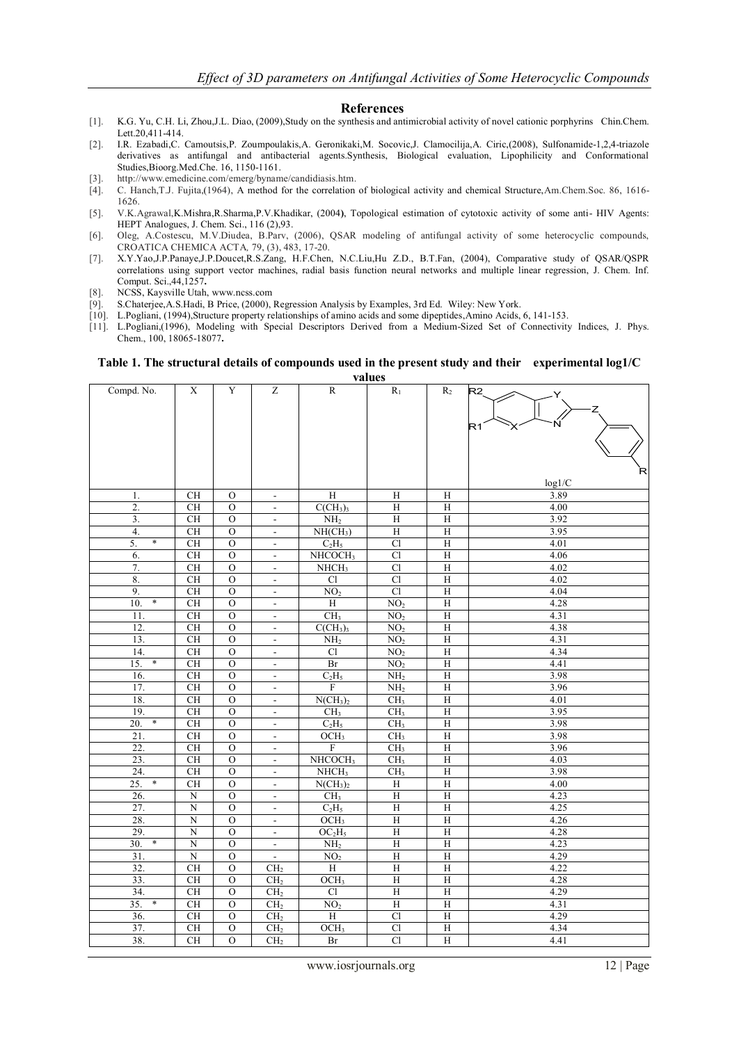#### **References**

- [1]. K.G. Yu, C.H. Li, Zhou,J.L. Diao, (2009),Study on the synthesis and antimicrobial activity of novel cationic porphyrins Chin.Chem. Lett.20,411-414
- [2]. I.R. Ezabadi,C. Camoutsis,P. Zoumpoulakis,A. Geronikaki,M. Socovic,J. Clamocilija,A. Ciric,(2008), Sulfonamide-1,2,4-triazole derivatives as antifungal and antibacterial agents.Synthesis, Biological evaluation, Lipophilicity and Conformational Studies,Bioorg.Med.Che. 16, 1150-1161.
- [3]. [http://www.emedicine.com/emerg/byname/candidiasis.htm.](http://www.emedicine.com/emerg/byname/candidiasis.htm)
- [4]. C. Hanch,T.J. Fujita,(1964), A method for the correlation of biological activity and chemical Structure,Am.Chem.Soc. 86, 1616- 1626.
- [5]. V.K.Agrawal,K.Mishra,R.Sharma,P.V.Khadikar, (2004**)**, Topological estimation of cytotoxic activity of some anti- HIV Agents: HEPT Analogues, J. Chem. Sci., 116 (2),93.
- [6]. Oleg, A.Costescu, M.V.Diudea, B.Parv, (2006), QSAR modeling of antifungal activity of some heterocyclic compounds, CROATICA CHEMICA ACTA*,* 79, (3), 483, 17-20.
- [7]. X.Y.Yao,J.P.Panaye,J.P.Doucet,R.S.Zang, H.F.Chen, N.C.Liu,Hu Z.D., B.T.Fan, (2004), Comparative study of QSAR/QSPR correlations using support vector machines, radial basis function neural networks and multiple linear regression, J. Chem. Inf. Comput. Sci.,44,1257**.**
- [8]. NCSS, Kaysville Utah[, www.ncss.com](http://www.ncss.com/)
- [9]. S.Chaterjee,A.S.Hadi, B Price, (2000), Regression Analysis by Examples, 3rd Ed. Wiley: New York.
- [10]. L.Pogliani, (1994),Structure property relationships of amino acids and some dipeptides,Amino Acids, 6, 141-153.
- [11]. L.Pogliani,(1996), Modeling with Special Descriptors Derived from a Medium-Sized Set of Connectivity Indices, J. Phys. Chem., 100, 18065-18077**.**

#### **Table 1. The structural details of compounds used in the present study and their experimental log1/C values**

Compd. No. X Y Z R R<sup>1</sup> R<sup>2</sup> log1/C 1. | CH | O | - | H | H | H | 3.89 2. CH O -  $C(CH_3)$  H H 4.00 3.  $CH \cup O \rightarrow H_2 \cup H \rightarrow H$  3.92 4. CH | O | - | NH(CH<sub>3</sub>) | H | H | 3.95 5. \* CH | O | - | C<sub>2</sub>H<sub>5</sub> | Cl | H | 4.01 6. CH O - NHCOCH<sub>3</sub> Cl H  $4.06$ 7. CH | O | - | NHCH<sub>3</sub> | Cl | H | 4.02 8. CH | O | - | Cl | Cl | H | 4.02 9. CH O -  $NO_2$  Cl H 4.04 10. \* CH O - H NO<sub>2</sub> H  $\sim$  4.28 11. CH O - CH<sub>3</sub> NO<sub>2</sub> H 4.31 12. CH O -  $CCH_3$ <sub>3</sub> NO<sub>2</sub> H 4.38 13. CH | O | - |  $NH_2$  |  $NO_2$  | H | 4.31 14. CH | O | - | Cl | NO<sub>2</sub> | H | 4.34 15. \* CH | O | - | Br | NO<sub>2</sub> | H | 4.41 16. CH O - C<sub>2</sub>H<sub>5</sub> NH<sub>2</sub> H 3.98 17. | CH | O | - | F | NH<sub>2</sub> | H | 3.96 18. CH O -  $N(CH_3)_2$  CH<sub>3</sub> H 4.01 19. CH O - CH<sub>3</sub> CH<sub>3</sub> H 3.95 20. \* CH O - C<sub>2</sub>H<sub>5</sub> CH<sub>3</sub> H 3.98 21. CH O -  $OCH_3$  CH<sub>3</sub> H 3.98 22. CH | O | - | F | CH<sub>3</sub> | H | 3.96 23. CH O - NHCOCH<sub>3</sub> CH<sub>3</sub> H 4.03 24. CH O - NHCH<sub>3</sub> CH<sub>3</sub> H 3.98 25. \* CH O -  $N(CH_3)_2$  H H 4.00 26. | N | O | - | CH<sub>3</sub> | H | H | 4.23 27.  $\begin{array}{|c|c|c|c|c|c|c|c|c|} \hline \end{array}$  N | O | - | C<sub>2</sub>H<sub>5</sub> | H | H | 4.25 28. N O - OCH<sup>3</sup> H H 4.26 29. | N | O | - | OC<sub>2</sub>H<sub>5</sub> | H | H | 4.28 30. \* | N | O | - | NH<sub>2</sub> | H | H | 4.23 31.  $\begin{array}{|c|c|c|c|c|c|c|c|c|} \hline \end{array}$  N O  $\begin{array}{|c|c|c|c|c|c|c|c|} \hline \end{array}$  N O  $\begin{array}{|c|c|c|c|c|c|} \hline \end{array}$  H  $\begin{array}{|c|c|c|c|c|} \hline \end{array}$  H  $\begin{array}{|c|c|c|c|c|} \hline \end{array}$  4.29  $32.$  CH O CH<sub>2</sub> H H H  $_2$  H H  $_3$ 33. CH O CH<sub>2</sub> OCH<sub>3</sub> H H  $_1$  4.28 34. CH O CH<sub>2</sub> Cl H H H 4.29 35.  $*$  CH O CH<sub>2</sub> NO<sub>2</sub> H H H 4.31 36. CH O CH<sub>2</sub> H Cl H 4.29 37. CH O CH<sub>2</sub> OCH<sub>3</sub> Cl H  $\frac{1}{1}$  4.34  $38.$  CH O CH<sub>2</sub> Br Cl H  $_4.41$ R X Y  $R1 \rightarrow X \rightarrow N$ ⊋ລ Z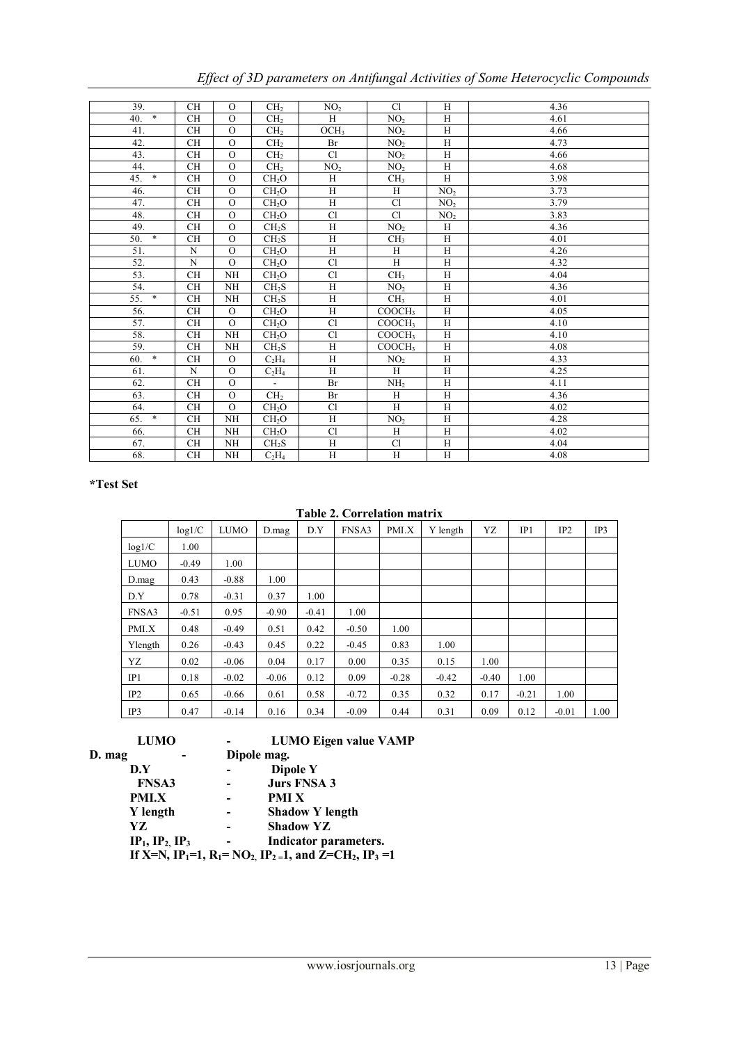| Cl<br>39.<br><b>CH</b><br>$\Omega$<br>H<br>4.36<br>CH <sub>2</sub><br>NO <sub>2</sub><br>$40.$ *<br><b>CH</b><br>$\overline{O}$<br>H<br>NO <sub>2</sub><br>H<br>4.61<br>CH <sub>2</sub><br>$\Omega$<br>H<br>41.<br><b>CH</b><br>$\overline{O}CH_3$<br>NO <sub>2</sub><br>4.66<br>CH <sub>2</sub><br>42.<br>$\Omega$<br>H<br>CH<br>NO <sub>2</sub><br>4.73<br>CH <sub>2</sub><br>Br<br>$\Omega$<br>H<br>43.<br><b>CH</b><br>Cl<br>4.66<br>CH <sub>2</sub><br>NO <sub>2</sub><br>$\Omega$<br>H<br>44.<br><b>CH</b><br>CH <sub>2</sub><br>4.68<br>NO <sub>2</sub><br>NO <sub>2</sub><br>$45.$ *<br>$\Omega$<br>H<br><b>CH</b><br>H<br>3.98<br>CH <sub>2</sub> O<br>CH <sub>3</sub><br>$\Omega$<br>H<br>H<br>NO <sub>2</sub><br>3.73<br>46.<br>CH<br>CH <sub>2</sub> O<br>Cl<br>3.79<br>47.<br><b>CH</b><br>$\Omega$<br>H<br>CH <sub>2</sub> O<br>NO <sub>2</sub><br>48.<br>$\Omega$<br>Cl<br>C1<br>3.83<br><b>CH</b><br>CH <sub>2</sub> O<br>NO <sub>2</sub><br>49.<br>$\overline{O}$<br>H<br>H<br><b>CH</b><br>CH <sub>2</sub> S<br>NO <sub>2</sub><br>4.36<br>$50.$ *<br>$\Omega$<br><b>CH</b><br>H<br>H<br>CH <sub>2</sub> S<br>CH <sub>3</sub><br>4.01<br>H<br>51.<br>$_{\rm N}$<br>$\mathbf{O}$<br>H<br>H<br>4.26<br>CH <sub>2</sub> O<br>$\mathbf N$<br>$\Omega$<br>H<br>52.<br>H<br>4.32<br>CH <sub>2</sub> O<br>C1<br>53.<br>H<br>NH<br>CH <sub>2</sub> O<br>C1<br><b>CH</b><br>CH <sub>3</sub><br>4.04<br>H<br>54.<br>CH <sub>2</sub> S<br>H<br><b>CH</b><br>NH<br>NO <sub>2</sub><br>4.36<br>$55. *$<br>H<br>H<br>4.01<br><b>CH</b><br>NH<br>CH <sub>2</sub> S<br>CH <sub>3</sub> |  |
|------------------------------------------------------------------------------------------------------------------------------------------------------------------------------------------------------------------------------------------------------------------------------------------------------------------------------------------------------------------------------------------------------------------------------------------------------------------------------------------------------------------------------------------------------------------------------------------------------------------------------------------------------------------------------------------------------------------------------------------------------------------------------------------------------------------------------------------------------------------------------------------------------------------------------------------------------------------------------------------------------------------------------------------------------------------------------------------------------------------------------------------------------------------------------------------------------------------------------------------------------------------------------------------------------------------------------------------------------------------------------------------------------------------------------------------------------------------------------------------------------------------------------------------------------------------------------------------|--|
|                                                                                                                                                                                                                                                                                                                                                                                                                                                                                                                                                                                                                                                                                                                                                                                                                                                                                                                                                                                                                                                                                                                                                                                                                                                                                                                                                                                                                                                                                                                                                                                          |  |
|                                                                                                                                                                                                                                                                                                                                                                                                                                                                                                                                                                                                                                                                                                                                                                                                                                                                                                                                                                                                                                                                                                                                                                                                                                                                                                                                                                                                                                                                                                                                                                                          |  |
|                                                                                                                                                                                                                                                                                                                                                                                                                                                                                                                                                                                                                                                                                                                                                                                                                                                                                                                                                                                                                                                                                                                                                                                                                                                                                                                                                                                                                                                                                                                                                                                          |  |
|                                                                                                                                                                                                                                                                                                                                                                                                                                                                                                                                                                                                                                                                                                                                                                                                                                                                                                                                                                                                                                                                                                                                                                                                                                                                                                                                                                                                                                                                                                                                                                                          |  |
|                                                                                                                                                                                                                                                                                                                                                                                                                                                                                                                                                                                                                                                                                                                                                                                                                                                                                                                                                                                                                                                                                                                                                                                                                                                                                                                                                                                                                                                                                                                                                                                          |  |
|                                                                                                                                                                                                                                                                                                                                                                                                                                                                                                                                                                                                                                                                                                                                                                                                                                                                                                                                                                                                                                                                                                                                                                                                                                                                                                                                                                                                                                                                                                                                                                                          |  |
|                                                                                                                                                                                                                                                                                                                                                                                                                                                                                                                                                                                                                                                                                                                                                                                                                                                                                                                                                                                                                                                                                                                                                                                                                                                                                                                                                                                                                                                                                                                                                                                          |  |
|                                                                                                                                                                                                                                                                                                                                                                                                                                                                                                                                                                                                                                                                                                                                                                                                                                                                                                                                                                                                                                                                                                                                                                                                                                                                                                                                                                                                                                                                                                                                                                                          |  |
|                                                                                                                                                                                                                                                                                                                                                                                                                                                                                                                                                                                                                                                                                                                                                                                                                                                                                                                                                                                                                                                                                                                                                                                                                                                                                                                                                                                                                                                                                                                                                                                          |  |
|                                                                                                                                                                                                                                                                                                                                                                                                                                                                                                                                                                                                                                                                                                                                                                                                                                                                                                                                                                                                                                                                                                                                                                                                                                                                                                                                                                                                                                                                                                                                                                                          |  |
|                                                                                                                                                                                                                                                                                                                                                                                                                                                                                                                                                                                                                                                                                                                                                                                                                                                                                                                                                                                                                                                                                                                                                                                                                                                                                                                                                                                                                                                                                                                                                                                          |  |
|                                                                                                                                                                                                                                                                                                                                                                                                                                                                                                                                                                                                                                                                                                                                                                                                                                                                                                                                                                                                                                                                                                                                                                                                                                                                                                                                                                                                                                                                                                                                                                                          |  |
|                                                                                                                                                                                                                                                                                                                                                                                                                                                                                                                                                                                                                                                                                                                                                                                                                                                                                                                                                                                                                                                                                                                                                                                                                                                                                                                                                                                                                                                                                                                                                                                          |  |
|                                                                                                                                                                                                                                                                                                                                                                                                                                                                                                                                                                                                                                                                                                                                                                                                                                                                                                                                                                                                                                                                                                                                                                                                                                                                                                                                                                                                                                                                                                                                                                                          |  |
|                                                                                                                                                                                                                                                                                                                                                                                                                                                                                                                                                                                                                                                                                                                                                                                                                                                                                                                                                                                                                                                                                                                                                                                                                                                                                                                                                                                                                                                                                                                                                                                          |  |
|                                                                                                                                                                                                                                                                                                                                                                                                                                                                                                                                                                                                                                                                                                                                                                                                                                                                                                                                                                                                                                                                                                                                                                                                                                                                                                                                                                                                                                                                                                                                                                                          |  |
|                                                                                                                                                                                                                                                                                                                                                                                                                                                                                                                                                                                                                                                                                                                                                                                                                                                                                                                                                                                                                                                                                                                                                                                                                                                                                                                                                                                                                                                                                                                                                                                          |  |
| H<br><b>CH</b><br>$\Omega$<br>CH <sub>2</sub> O<br>H<br>COOCH3<br>56.<br>4.05                                                                                                                                                                                                                                                                                                                                                                                                                                                                                                                                                                                                                                                                                                                                                                                                                                                                                                                                                                                                                                                                                                                                                                                                                                                                                                                                                                                                                                                                                                            |  |
| 57.<br>Cl<br>H<br>$\Omega$<br>4.10<br><b>CH</b><br>CH <sub>2</sub> O<br>COOCH3                                                                                                                                                                                                                                                                                                                                                                                                                                                                                                                                                                                                                                                                                                                                                                                                                                                                                                                                                                                                                                                                                                                                                                                                                                                                                                                                                                                                                                                                                                           |  |
| H<br>58.<br><b>CH</b><br>NH<br>Cl<br>COOCH3<br>CH <sub>2</sub> O<br>4.10                                                                                                                                                                                                                                                                                                                                                                                                                                                                                                                                                                                                                                                                                                                                                                                                                                                                                                                                                                                                                                                                                                                                                                                                                                                                                                                                                                                                                                                                                                                 |  |
| 59.<br>H<br>H<br>4.08<br><b>CH</b><br>NH<br>COOCH3<br>CH <sub>2</sub> S                                                                                                                                                                                                                                                                                                                                                                                                                                                                                                                                                                                                                                                                                                                                                                                                                                                                                                                                                                                                                                                                                                                                                                                                                                                                                                                                                                                                                                                                                                                  |  |
| $60.$ *<br>H<br>H<br>4.33<br><b>CH</b><br>$\Omega$<br>$C_2H_4$<br>NO <sub>2</sub>                                                                                                                                                                                                                                                                                                                                                                                                                                                                                                                                                                                                                                                                                                                                                                                                                                                                                                                                                                                                                                                                                                                                                                                                                                                                                                                                                                                                                                                                                                        |  |
| H<br>$\mathbf N$<br>$\mathbf{O}$<br>H<br>H<br>4.25<br>61.<br>$C_2H_4$                                                                                                                                                                                                                                                                                                                                                                                                                                                                                                                                                                                                                                                                                                                                                                                                                                                                                                                                                                                                                                                                                                                                                                                                                                                                                                                                                                                                                                                                                                                    |  |
| 62.<br>$\Omega$<br>H<br>4.11<br><b>CH</b><br>Br<br>$\sim$<br>NH <sub>2</sub>                                                                                                                                                                                                                                                                                                                                                                                                                                                                                                                                                                                                                                                                                                                                                                                                                                                                                                                                                                                                                                                                                                                                                                                                                                                                                                                                                                                                                                                                                                             |  |
| $\mathcal{O}$<br>63.<br>H<br>4.36<br>CH<br>CH <sub>2</sub><br>Br<br>H                                                                                                                                                                                                                                                                                                                                                                                                                                                                                                                                                                                                                                                                                                                                                                                                                                                                                                                                                                                                                                                                                                                                                                                                                                                                                                                                                                                                                                                                                                                    |  |
| $\Omega$<br>H<br>H<br>64.<br>CH<br>CH <sub>2</sub> O<br>C1<br>4.02                                                                                                                                                                                                                                                                                                                                                                                                                                                                                                                                                                                                                                                                                                                                                                                                                                                                                                                                                                                                                                                                                                                                                                                                                                                                                                                                                                                                                                                                                                                       |  |
| $65. *$<br>NH<br>H<br>H<br>4.28<br><b>CH</b><br>CH <sub>2</sub> O<br>NO <sub>2</sub>                                                                                                                                                                                                                                                                                                                                                                                                                                                                                                                                                                                                                                                                                                                                                                                                                                                                                                                                                                                                                                                                                                                                                                                                                                                                                                                                                                                                                                                                                                     |  |
| Cl<br>H<br>H<br>66.<br><b>CH</b><br>NH<br>CH <sub>2</sub> O<br>4.02                                                                                                                                                                                                                                                                                                                                                                                                                                                                                                                                                                                                                                                                                                                                                                                                                                                                                                                                                                                                                                                                                                                                                                                                                                                                                                                                                                                                                                                                                                                      |  |
| Cl<br>H<br>H<br>67.<br><b>CH</b><br><b>NH</b><br>CH <sub>2</sub> S<br>4.04                                                                                                                                                                                                                                                                                                                                                                                                                                                                                                                                                                                                                                                                                                                                                                                                                                                                                                                                                                                                                                                                                                                                                                                                                                                                                                                                                                                                                                                                                                               |  |
| $\overline{H}$<br>$\overline{H}$<br>$\overline{H}$<br>68.<br>CH<br>NH<br>4.08<br>$C_2H_4$                                                                                                                                                                                                                                                                                                                                                                                                                                                                                                                                                                                                                                                                                                                                                                                                                                                                                                                                                                                                                                                                                                                                                                                                                                                                                                                                                                                                                                                                                                |  |

*Effect of 3D parameters on Antifungal Activities of Some Heterocyclic Compounds*

## **\*Test Set**

**Table 2. Correlation matrix**

|                 | log1/C  | <b>LUMO</b> | $D_{.}mag$ | D.Y     | <b>FNSA3</b> | PMI.X   | Y length | YZ      | IP1     | IP <sub>2</sub> | IP3  |
|-----------------|---------|-------------|------------|---------|--------------|---------|----------|---------|---------|-----------------|------|
| log1/C          | 1.00    |             |            |         |              |         |          |         |         |                 |      |
| <b>LUMO</b>     | $-0.49$ | 1.00        |            |         |              |         |          |         |         |                 |      |
| $D_{.}$ mag     | 0.43    | $-0.88$     | 1.00       |         |              |         |          |         |         |                 |      |
| D.Y             | 0.78    | $-0.31$     | 0.37       | 1.00    |              |         |          |         |         |                 |      |
| FNSA3           | $-0.51$ | 0.95        | $-0.90$    | $-0.41$ | 1.00         |         |          |         |         |                 |      |
| PMI.X           | 0.48    | $-0.49$     | 0.51       | 0.42    | $-0.50$      | 1.00    |          |         |         |                 |      |
| Ylength         | 0.26    | $-0.43$     | 0.45       | 0.22    | $-0.45$      | 0.83    | 1.00     |         |         |                 |      |
| YZ              | 0.02    | $-0.06$     | 0.04       | 0.17    | 0.00         | 0.35    | 0.15     | 1.00    |         |                 |      |
| IP1             | 0.18    | $-0.02$     | $-0.06$    | 0.12    | 0.09         | $-0.28$ | $-0.42$  | $-0.40$ | 1.00    |                 |      |
| IP <sub>2</sub> | 0.65    | $-0.66$     | 0.61       | 0.58    | $-0.72$      | 0.35    | 0.32     | 0.17    | $-0.21$ | 1.00            |      |
| IP3             | 0.47    | $-0.14$     | 0.16       | 0.34    | $-0.09$      | 0.44    | 0.31     | 0.09    | 0.12    | $-0.01$         | 1.00 |

| <b>LUMO</b>  |                          | <b>LUMO Eigen value VAMP</b>                                                                                                  |
|--------------|--------------------------|-------------------------------------------------------------------------------------------------------------------------------|
| D. mag       |                          | Dipole mag.                                                                                                                   |
| D.Y          |                          | Dipole Y                                                                                                                      |
| <b>FNSA3</b> |                          | <b>Jurs FNSA 3</b>                                                                                                            |
| <b>PMI.X</b> |                          | <b>PMIX</b>                                                                                                                   |
| Y length     |                          | <b>Shadow Y length</b>                                                                                                        |
| YZ.          |                          | <b>Shadow YZ</b>                                                                                                              |
|              | $IP_1$ , $IP_2$ , $IP_3$ | Indicator parameters.                                                                                                         |
|              |                          | If X=N, IP <sub>1</sub> =1, R <sub>1</sub> = NO <sub>2</sub> , IP <sub>2</sub> =1, and Z=CH <sub>2</sub> , IP <sub>3</sub> =1 |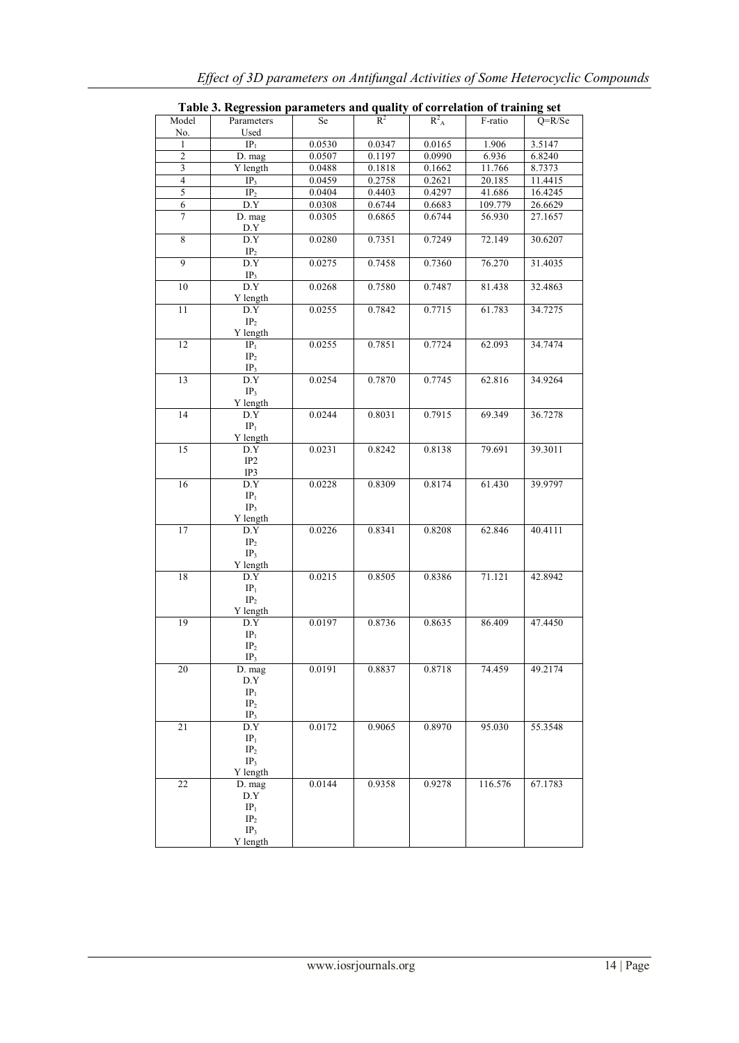|                         | Table 3. Regression parameters and quality of correlation of training set             |        |        |         |         |          |
|-------------------------|---------------------------------------------------------------------------------------|--------|--------|---------|---------|----------|
| Model                   | Parameters                                                                            | Se     | $R^2$  | $R_A^2$ | F-ratio | $O=R/Se$ |
| No.                     | Used                                                                                  |        |        |         |         |          |
| 1                       | IP <sub>1</sub>                                                                       | 0.0530 | 0.0347 | 0.0165  | 1.906   | 3.5147   |
| $\overline{2}$          | D. mag                                                                                | 0.0507 | 0.1197 | 0.0990  | 6.936   | 6.8240   |
| $\overline{\mathbf{3}}$ | Y length                                                                              | 0.0488 | 0.1818 | 0.1662  | 11.766  | 8.7373   |
| $\overline{4}$          | IP <sub>3</sub>                                                                       | 0.0459 | 0.2758 | 0.2621  | 20.185  | 11.4415  |
| 5                       | IP <sub>2</sub>                                                                       | 0.0404 | 0.4403 | 0.4297  | 41.686  | 16.4245  |
| 6                       | $\mathbf{D}.\mathbf{Y}$                                                               | 0.0308 | 0.6744 | 0.6683  | 109.779 | 26.6629  |
| 7                       | D. mag<br>D.Y                                                                         | 0.0305 | 0.6865 | 0.6744  | 56.930  | 27.1657  |
| $\overline{8}$          | D.Y<br>$\text{IP}_2$                                                                  | 0.0280 | 0.7351 | 0.7249  | 72.149  | 30.6207  |
| $\overline{9}$          | D.Y<br>IP <sub>3</sub>                                                                | 0.0275 | 0.7458 | 0.7360  | 76.270  | 31.4035  |
| 10                      | D.Y<br>Y length                                                                       | 0.0268 | 0.7580 | 0.7487  | 81.438  | 32.4863  |
| 11                      | D.Y<br>$\rm IP_2$                                                                     | 0.0255 | 0.7842 | 0.7715  | 61.783  | 34.7275  |
| 12                      | Y length<br>IP <sub>1</sub><br>IP <sub>2</sub>                                        | 0.0255 | 0.7851 | 0.7724  | 62.093  | 34.7474  |
| 13                      | IP <sub>3</sub><br>D.Y<br>IP <sub>3</sub>                                             | 0.0254 | 0.7870 | 0.7745  | 62.816  | 34.9264  |
| 14                      | Y length<br>D.Y<br>IP <sub>1</sub><br>Y length                                        | 0.0244 | 0.8031 | 0.7915  | 69.349  | 36.7278  |
| 15                      | D.Y<br>IP <sub>2</sub>                                                                | 0.0231 | 0.8242 | 0.8138  | 79.691  | 39.3011  |
| 16                      | IP3<br>D.Y<br>IP <sub>1</sub><br>IP <sub>3</sub>                                      | 0.0228 | 0.8309 | 0.8174  | 61.430  | 39.9797  |
| 17                      | Y length<br>D.Y<br>IP <sub>2</sub><br>IP <sub>3</sub>                                 | 0.0226 | 0.8341 | 0.8208  | 62.846  | 40.4111  |
| 18                      | Y length<br>D.Y<br>IP <sub>1</sub><br>IP <sub>2</sub><br>Y length                     | 0.0215 | 0.8505 | 0.8386  | 71.121  | 42.8942  |
| 19                      | D.Y<br>$\mathbf{IP}_1$<br>IP <sub>2</sub><br>IP <sub>3</sub>                          | 0.0197 | 0.8736 | 0.8635  | 86.409  | 47.4450  |
| 20                      | D. mag<br>D.Y<br>IP <sub>1</sub><br>IP <sub>2</sub><br>IP <sub>3</sub>                | 0.0191 | 0.8837 | 0.8718  | 74.459  | 49.2174  |
| 21                      | $\overline{D.Y}$<br>IP <sub>1</sub><br>IP <sub>2</sub><br>IP <sub>3</sub><br>Y length | 0.0172 | 0.9065 | 0.8970  | 95.030  | 55.3548  |
| 22                      | D. mag<br>D.Y<br>IP <sub>1</sub><br>IP <sub>2</sub><br>IP <sub>3</sub><br>Y length    | 0.0144 | 0.9358 | 0.9278  | 116.576 | 67.1783  |

**Table 3. Regression parameters and quality of correlation of training set**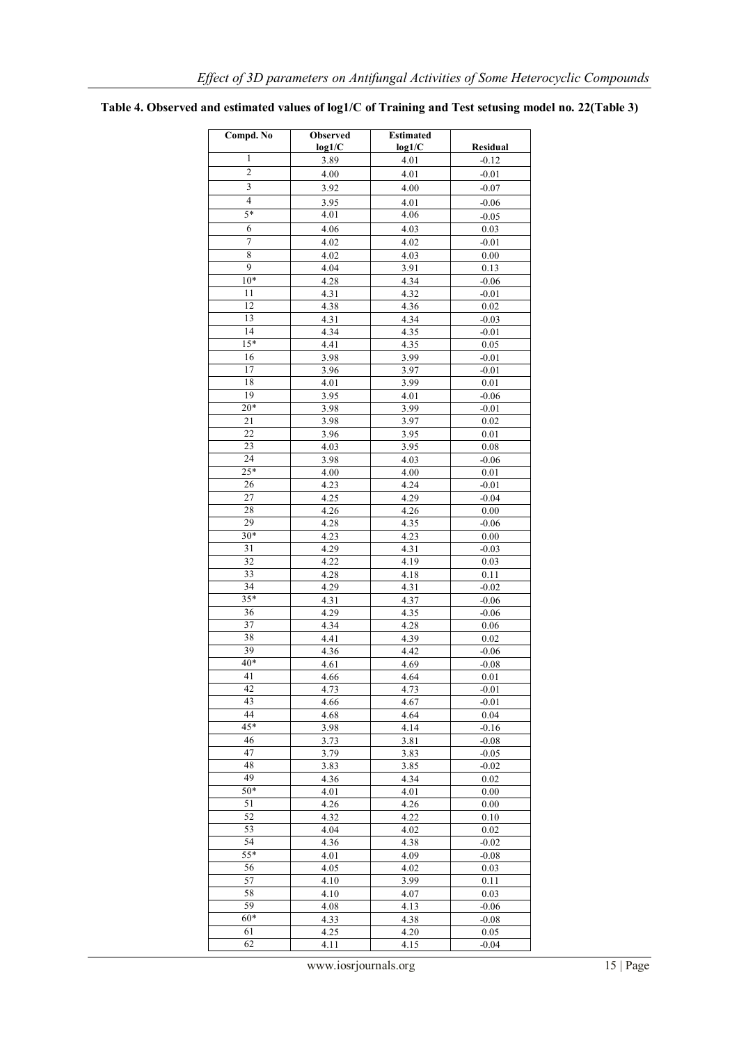| Compd. No               | Observed | <b>Estimated</b> |          |
|-------------------------|----------|------------------|----------|
| 1                       | log1/C   | log1/C           | Residual |
|                         | 3.89     | 4.01             | $-0.12$  |
| $\overline{c}$          | 4.00     | 4.01             | $-0.01$  |
| $\overline{\mathbf{3}}$ | 3.92     | 4.00             | $-0.07$  |
| $\overline{4}$          | 3.95     | 4.01             | $-0.06$  |
| $5*$                    | 4.01     | 4.06             | $-0.05$  |
| 6                       | 4.06     | 4.03             | 0.03     |
| $\overline{7}$          | 4.02     | 4.02             | $-0.01$  |
| 8                       | 4.02     | 4.03             | 0.00     |
| $\overline{9}$          | 4.04     | 3.91             | 0.13     |
| $10*$                   | 4.28     | 4.34             | $-0.06$  |
| 11                      | 4.31     | 4.32             | $-0.01$  |
| 12                      | 4.38     | 4.36             | 0.02     |
| 13                      | 4.31     | 4.34             | $-0.03$  |
| 14                      | 4.34     | 4.35             | $-0.01$  |
| $15*$                   | 4.41     | 4.35             | 0.05     |
| 16                      | 3.98     | 3.99             | $-0.01$  |
| 17                      | 3.96     | 3.97             | $-0.01$  |
| 18                      | 4.01     | 3.99             | $0.01\,$ |
| 19                      | 3.95     | 4.01             | $-0.06$  |
| $20*$                   | 3.98     | 3.99             | $-0.01$  |
| $\overline{21}$         | 3.98     | 3.97             | 0.02     |
| 22                      | 3.96     | 3.95             | 0.01     |
| 23                      | 4.03     | 3.95             | $0.08\,$ |
| 24                      | 3.98     | 4.03             | $-0.06$  |
| $25*$                   | 4.00     | 4.00             | $0.01\,$ |
| 26                      | 4.23     | 4.24             | $-0.01$  |
| 27                      | 4.25     | 4.29             | $-0.04$  |
| 28                      | 4.26     | 4.26             | 0.00     |
| 29                      | 4.28     | 4.35             | $-0.06$  |
| $30*$                   | 4.23     | 4.23             | 0.00     |
| 31                      | 4.29     | 4.31             | $-0.03$  |
| 32                      | 4.22     | 4.19             | 0.03     |
| 33                      | 4.28     | 4.18             | 0.11     |
| 34                      | 4.29     | 4.31             | $-0.02$  |
| $35*$                   | 4.31     | 4.37             | $-0.06$  |
| 36                      | 4.29     | 4.35             | $-0.06$  |
| $\overline{37}$         | 4.34     | 4.28             | 0.06     |
| 38                      | 4.41     | 4.39             | 0.02     |
| 39                      | 4.36     | 4.42             | $-0.06$  |
| $40^*$                  | 4.61     | 4.69             | $-0.08$  |
| 41                      | 4.66     | 4.64             | 0.01     |
| 42                      | 4.73     | 4.73             | $-0.01$  |
| 43                      | 4.66     | 4.67             | $-0.01$  |
| 44                      | 4.68     | 4.64             | 0.04     |
| $45*$                   | 3.98     | 4.14             | $-0.16$  |
| 46                      | 3.73     | 3.81             | $-0.08$  |
| 47                      | 3.79     | 3.83             | $-0.05$  |
| 48                      | 3.83     | 3.85             | $-0.02$  |
| 49                      | 4.36     | 4.34             | 0.02     |
| $50*$                   | 4.01     | 4.01             | 0.00     |
| 51                      | 4.26     | 4.26             | 0.00     |
| 52                      | 4.32     | 4.22             | 0.10     |
| 53                      | 4.04     | 4.02             | 0.02     |
| 54                      | 4.36     | 4.38             | $-0.02$  |
| 55*                     | 4.01     | 4.09             | $-0.08$  |
| 56                      | 4.05     | 4.02             | 0.03     |
| 57                      | 4.10     | 3.99             | 0.11     |
| 58                      | 4.10     | 4.07             | 0.03     |
| 59                      | 4.08     | 4.13             | $-0.06$  |
| $60*$                   | 4.33     | 4.38             | $-0.08$  |
| 61                      | 4.25     | 4.20             | 0.05     |
| 62                      | 4.11     | 4.15             | $-0.04$  |

## **Table 4. Observed and estimated values of log1/C of Training and Test setusing model no. 22(Table 3)**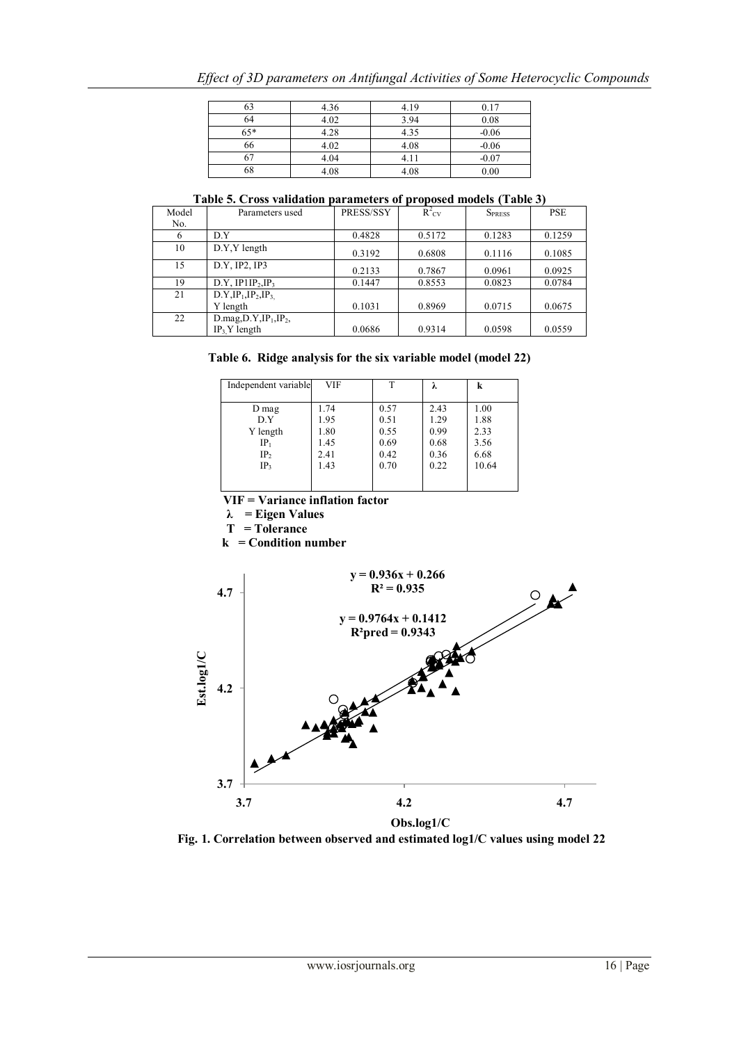|  | Effect of 3D parameters on Antifungal Activities of Some Heterocyclic Compounds |  |  |
|--|---------------------------------------------------------------------------------|--|--|
|  |                                                                                 |  |  |

| 63    | 4.36 | 4.19 | 0.17    |
|-------|------|------|---------|
| 64    | 4.02 | 3.94 | 0.08    |
| $65*$ | 4.28 | 4.35 | $-0.06$ |
| 66    | 4.02 | 4.08 | $-0.06$ |
|       | 4.04 | 4.11 | $-0.07$ |
| 68    | 4.08 | 4.08 | 0.00    |

**Table 5. Cross validation parameters of proposed models (Table 3)**

| Model | Parameters used                           | PRESS/SSY | $R^2_{\text{CV}}$ | <b>SPRESS</b> | <b>PSE</b> |
|-------|-------------------------------------------|-----------|-------------------|---------------|------------|
| No.   |                                           |           |                   |               |            |
| 6     | D.Y                                       | 0.4828    | 0.5172            | 0.1283        | 0.1259     |
| 10    | D.Y.Y length                              | 0.3192    | 0.6808            | 0.1116        | 0.1085     |
| 15    | D.Y. IP2, IP3                             | 0.2133    | 0.7867            | 0.0961        | 0.0925     |
| 19    | D.Y, IP1IP <sub>2</sub> , IP <sub>3</sub> | 0.1447    | 0.8553            | 0.0823        | 0.0784     |
| 21    | $D.Y, IP1, IP2, IP3$                      |           |                   |               |            |
|       | Y length                                  | 0.1031    | 0.8969            | 0.0715        | 0.0675     |
| 22    | $D \text{.mag}, D \text{.Y}, IP_1, IP_2,$ |           |                   |               |            |
|       | $IP_3$ Y length                           | 0.0686    | 0.9314            | 0.0598        | 0.0559     |

|  |  | Table 6. Ridge analysis for the six variable model (model 22) |  |  |
|--|--|---------------------------------------------------------------|--|--|
|  |  |                                                               |  |  |

| Independent variable | <b>VIF</b> | т    | λ    | k     |
|----------------------|------------|------|------|-------|
|                      |            |      |      |       |
| D mag                | 1.74       | 0.57 | 2.43 | 1.00  |
| D.Y                  | 1.95       | 0.51 | 1.29 | 1.88  |
| Y length             | 1.80       | 0.55 | 0.99 | 2.33  |
| $IP_1$               | 1.45       | 0.69 | 0.68 | 3.56  |
| IP <sub>2</sub>      | 2.41       | 0.42 | 0.36 | 6.68  |
| IP <sub>3</sub>      | 1.43       | 0.70 | 0.22 | 10.64 |
|                      |            |      |      |       |

**VIF = Variance inflation factor**

**λ = Eigen Values**

**T = Tolerance**

 **k = Condition number**



**Fig. 1. Correlation between observed and estimated log1/C values using model 22**